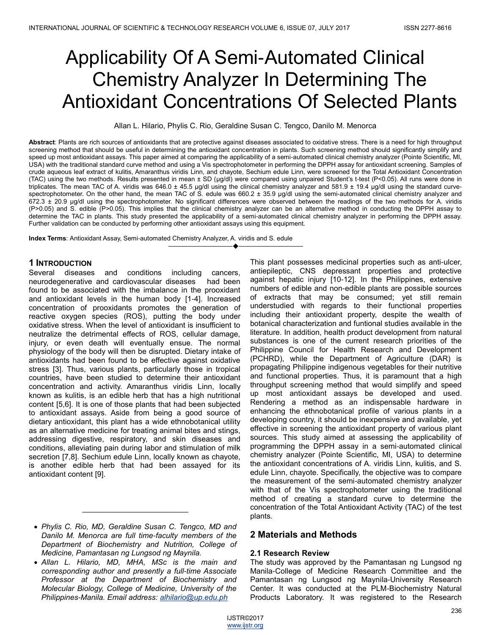# Applicability Of A Semi-Automated Clinical Chemistry Analyzer In Determining The Antioxidant Concentrations Of Selected Plants

Allan L. Hilario, Phylis C. Rio, Geraldine Susan C. Tengco, Danilo M. Menorca

**Abstract**: Plants are rich sources of antioxidants that are protective against diseases associated to oxidative stress. There is a need for high throughput screening method that should be useful in determining the antioxidant concentration in plants. Such screening method should significantly simplify and speed up most antioxidant assays. This paper aimed at comparing the applicability of a semi-automated clinical chemistry analyzer (Pointe Scientific, MI, USA) with the traditional standard curve method and using a Vis spectrophotometer in performing the DPPH assay for antioxidant screening. Samples of crude aqueous leaf extract of kulitis, Amaranthus viridis Linn, and chayote, Sechium edule Linn, were screened for the Total Antioxidant Concentration (TAC) using the two methods. Results presented in mean ± SD (μg/dl) were compared using unpaired Student's t-test (P<0.05). All runs were done in triplicates. The mean TAC of A. viridis was 646.0 ± 45.5 μg/dl using the clinical chemistry analyzer and 581.9 ± 19.4 μg/dl using the standard curvespectrophotometer. On the other hand, the mean TAC of S. edule was 660.2 ± 35.9 µg/dl using the semi-automated clinical chemistry analyzer and 672.3 ± 20.9 μg/dl using the spectrophotometer. No significant differences were observed between the readings of the two methods for A. viridis (P>0.05) and S. edible (P>0.05). This implies that the clinical chemistry analyzer can be an alternative method in conducting the DPPH assay to determine the TAC in plants. This study presented the applicability of a semi-automated clinical chemistry analyzer in performing the DPPH assay. Further validation can be conducted by performing other antioxidant assays using this equipment.

————————————————————

**Index Terms**: Antioxidant Assay, Semi-automated Chemistry Analyzer, A. viridis and S. edule

#### **1 INTRODUCTION**

Several diseases and conditions including cancers, neurodegenerative and cardiovascular diseases had been found to be associated with the imbalance in the prooxidant and antioxidant levels in the human body [1-4]. Increased concentration of prooxidants promotes the generation of reactive oxygen species (ROS), putting the body under oxidative stress. When the level of antioxidant is insufficient to neutralize the detrimental effects of ROS, cellular damage, injury, or even death will eventually ensue. The normal physiology of the body will then be disrupted. Dietary intake of antioxidants had been found to be effective against oxidative stress [3]. Thus, various plants, particularly those in tropical countries, have been studied to determine their antioxidant concentration and activity. Amaranthus viridis Linn, locally known as kulitis, is an edible herb that has a high nutritional content [5,6]. It is one of those plants that had been subjected to antioxidant assays. Aside from being a good source of dietary antioxidant, this plant has a wide ethnobotanical utility as an alternative medicine for treating animal bites and stings, addressing digestive, respiratory, and skin diseases and conditions, alleviating pain during labor and stimulation of milk secretion [7,8]. Sechium edule Linn, locally known as chayote, is another edible herb that had been assayed for its antioxidant content [9].

 $\overline{\phantom{a}}$  , where  $\overline{\phantom{a}}$  , where  $\overline{\phantom{a}}$  , where  $\overline{\phantom{a}}$ 

This plant possesses medicinal properties such as anti-ulcer, antiepileptic, CNS depressant properties and protective against hepatic injury [10-12]. In the Philippines, extensive numbers of edible and non-edible plants are possible sources of extracts that may be consumed; yet still remain understudied with regards to their functional properties including their antioxidant property, despite the wealth of botanical characterization and funtional studies available in the literature. In addition, health product development from natural substances is one of the current research priorities of the Philippine Council for Health Research and Development (PCHRD), while the Department of Agriculture (DAR) is propagating Philippine indigenous vegetables for their nutritive and functional properties. Thus, it is paramount that a high throughput screening method that would simplify and speed up most antioxidant assays be developed and used. Rendering a method as an indispensable hardware in enhancing the ethnobotanical profile of various plants in a developing country, it should be inexpensive and available, yet effective in screening the antioxidant property of various plant sources. This study aimed at assessing the applicability of programming the DPPH assay in a semi-automated clinical chemistry analyzer (Pointe Scientific, MI, USA) to determine the antioxidant concentrations of A. viridis Linn, kulitis, and S. edule Linn, chayote. Specifically, the objective was to compare the measurement of the semi-automated chemistry analyzer with that of the Vis spectrophotometer using the traditional method of creating a standard curve to determine the concentration of the Total Antioxidant Activity (TAC) of the test plants.

#### **2 Materials and Methods**

#### **2.1 Research Review**

The study was approved by the Pamantasan ng Lungsod ng Manila-College of Medicine Research Committee and the Pamantasan ng Lungsod ng Maynila-University Research Center. It was conducted at the PLM-Biochemistry Natural Products Laboratory. It was registered to the Research

*Phylis C. Rio, MD, Geraldine Susan C. Tengco, MD and Danilo M. Menorca are full time-faculty members of the Department of Biochemistry and Nutrition, College of Medicine, Pamantasan ng Lungsod ng Maynila.*

*Allan L. Hilario, MD, MHA, MSc is the main and corresponding author and presently a full-time Associate Professor at the Department of Biochemistry and Molecular Biology, College of Medicine, University of the Philippines-Manila. Email address: alhilario@up.edu.ph*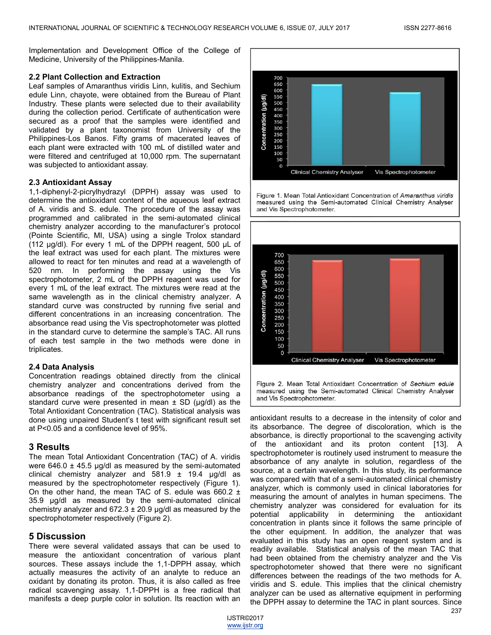Implementation and Development Office of the College of Medicine, University of the Philippines-Manila.

#### **2.2 Plant Collection and Extraction**

Leaf samples of Amaranthus viridis Linn, kulitis, and Sechium edule Linn, chayote, were obtained from the Bureau of Plant Industry. These plants were selected due to their availability during the collection period. Certificate of authentication were secured as a proof that the samples were identified and validated by a plant taxonomist from University of the Philippines-Los Banos. Fifty grams of macerated leaves of each plant were extracted with 100 mL of distilled water and were filtered and centrifuged at 10,000 rpm. The supernatant was subjected to antioxidant assay.

#### **2.3 Antioxidant Assay**

1,1-diphenyl-2-picrylhydrazyl (DPPH) assay was used to determine the antioxidant content of the aqueous leaf extract of A. viridis and S. edule. The procedure of the assay was programmed and calibrated in the semi-automated clinical chemistry analyzer according to the manufacturer's protocol (Pointe Scientific, MI, USA) using a single Trolox standard (112 μg/dl). For every 1 mL of the DPPH reagent, 500 µL of the leaf extract was used for each plant. The mixtures were allowed to react for ten minutes and read at a wavelength of 520 nm. In performing the assay using the Vis spectrophotometer, 2 mL of the DPPH reagent was used for every 1 mL of the leaf extract. The mixtures were read at the same wavelength as in the clinical chemistry analyzer. A standard curve was constructed by running five serial and different concentrations in an increasing concentration. The absorbance read using the Vis spectrophotometer was plotted in the standard curve to determine the sample's TAC. All runs of each test sample in the two methods were done in triplicates.

#### **2.4 Data Analysis**

Concentration readings obtained directly from the clinical chemistry analyzer and concentrations derived from the absorbance readings of the spectrophotometer using a standard curve were presented in mean  $\pm$  SD ( $\mu$ g/dl) as the Total Antioxidant Concentration (TAC). Statistical analysis was done using unpaired Student's t test with significant result set at P<0.05 and a confidence level of 95%.

#### **3 Results**

The mean Total Antioxidant Concentration (TAC) of A. viridis were  $646.0 \pm 45.5$  µg/dl as measured by the semi-automated clinical chemistry analyzer and 581.9 ± 19.4 μg/dl as measured by the spectrophotometer respectively (Figure 1). On the other hand, the mean TAC of S. edule was  $660.2 \pm$ 35.9 μg/dl as measured by the semi-automated clinical chemistry analyzer and  $672.3 \pm 20.9$  µg/dl as measured by the spectrophotometer respectively (Figure 2).

#### **5 Discussion**

There were several validated assays that can be used to measure the antioxidant concentration of various plant sources. These assays include the 1,1-DPPH assay, which actually measures the activity of an analyte to reduce an oxidant by donating its proton. Thus, it is also called as free radical scavenging assay. 1,1-DPPH is a free radical that manifests a deep purple color in solution. Its reaction with an



Figure 1. Mean Total Antioxidant Concentration of Amaranthus viridis measured using the Semi-automated Clinical Chemistry Analyser and Vis Spectrophotometer.



Figure 2. Mean Total Antioxidant Concentration of Sechium edule measured using the Semi-automated Clinical Chemistry Analyser and Vis Spectrophotometer.

antioxidant results to a decrease in the intensity of color and its absorbance. The degree of discoloration, which is the absorbance, is directly proportional to the scavenging activity of the antioxidant and its proton content [13]. A spectrophotometer is routinely used instrument to measure the absorbance of any analyte in solution, regardless of the source, at a certain wavelength. In this study, its performance was compared with that of a semi-automated clinical chemistry analyzer, which is commonly used in clinical laboratories for measuring the amount of analytes in human specimens. The chemistry analyzer was considered for evaluation for its potential applicability in determining the antioxidant concentration in plants since it follows the same principle of the other equipment. In addition, the analyzer that was evaluated in this study has an open reagent system and is readily available. Statistical analysis of the mean TAC that had been obtained from the chemistry analyzer and the Vis spectrophotometer showed that there were no significant differences between the readings of the two methods for A. viridis and S. edule. This implies that the clinical chemistry analyzer can be used as alternative equipment in performing the DPPH assay to determine the TAC in plant sources. Since